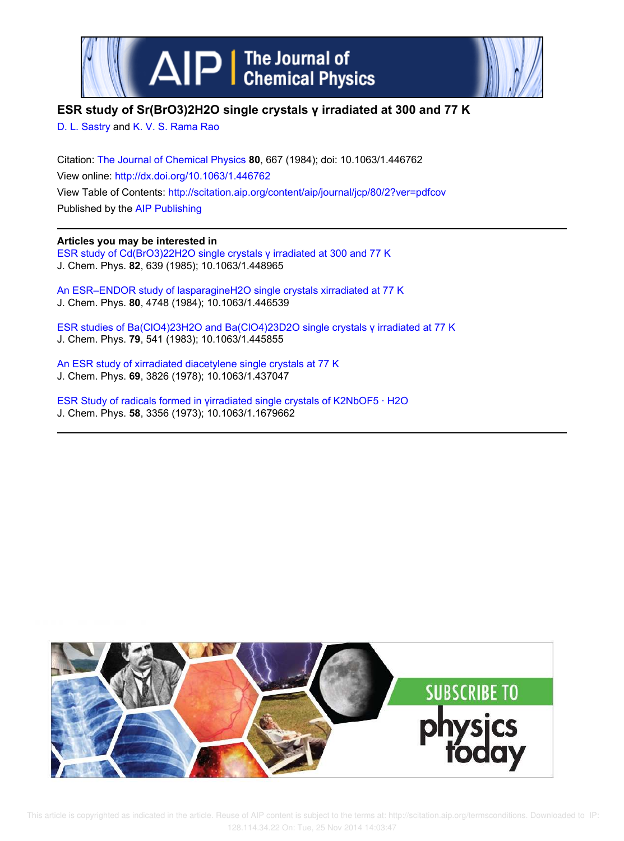



## **ESR study of Sr(BrO3)2H2O single crystals γ irradiated at 300 and 77 K**

D. L. Sastry and K. V. S. Rama Rao

Citation: The Journal of Chemical Physics **80**, 667 (1984); doi: 10.1063/1.446762 View online: http://dx.doi.org/10.1063/1.446762 View Table of Contents: http://scitation.aip.org/content/aip/journal/jcp/80/2?ver=pdfcov Published by the AIP Publishing

## **Articles you may be interested in**

ESR study of Cd(BrO3)22H2O single crystals γ irradiated at 300 and 77 K J. Chem. Phys. **82**, 639 (1985); 10.1063/1.448965

An ESR–ENDOR study of lasparagineH2O single crystals xirradiated at 77 K J. Chem. Phys. **80**, 4748 (1984); 10.1063/1.446539

ESR studies of Ba(ClO4)23H2O and Ba(ClO4)23D2O single crystals γ irradiated at 77 K J. Chem. Phys. **79**, 541 (1983); 10.1063/1.445855

An ESR study of xirradiated diacetylene single crystals at 77 K J. Chem. Phys. **69**, 3826 (1978); 10.1063/1.437047

ESR Study of radicals formed in γirradiated single crystals of K2NbOF5 · H2O J. Chem. Phys. **58**, 3356 (1973); 10.1063/1.1679662



 This article is copyrighted as indicated in the article. Reuse of AIP content is subject to the terms at: http://scitation.aip.org/termsconditions. Downloaded to IP: 128.114.34.22 On: Tue, 25 Nov 2014 14:03:47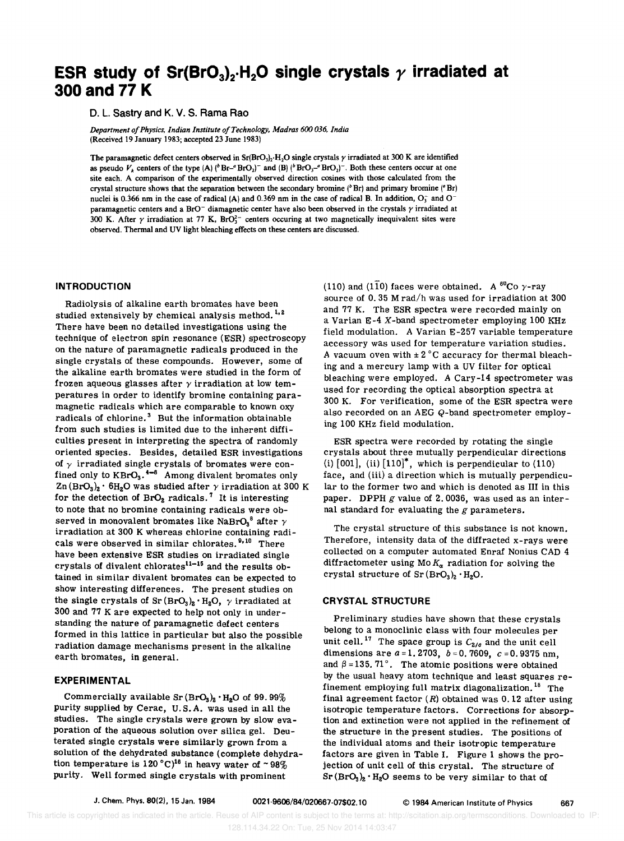# **ESR study of Sr(BrO<sub>3</sub>)<sub>2</sub>.H<sub>2</sub>O single crystals**  $\gamma$  **irradiated at 300 and 77 K**

D. L. Sastry and K. V. S. Rama Rao

*Department of Physics, Indian Institute of Technology, Madras 600 036, India*  (Received 19 January 1983; accepted 23 June 1983)

The paramagnetic defect centers observed in  $Sr(BrO<sub>3</sub>)<sub>2</sub>·H<sub>2</sub>O$  single crystals  $\gamma$  irradiated at 300 K are identified as pseudo  $V_k$  centers of the type  $(A)$  ( $B - BrO_2$ )<sup>-</sup> and  $(B)$  ( $B \cdot BrO_3 - BrO_2$ )<sup>-</sup>. Both these centers occur at one site each. A comparison of the experimentally observed direction cosines with those calculated from the crystal structure shows that the separation between the secondary bromine ( ${}^b$ Br) and primary bromine ( ${}^a$ Br) nuclei is 0.366 nm in the case of radical (A) and 0.369 nm in the case of radical B. In addition,  $O_3^-$  and  $O^$ paramagnetic centers and a BrO<sup>-</sup> diamagnetic center have also been observed in the crystals  $\gamma$  irradiated at 300 K. After  $\gamma$  irradiation at 77 K, BrO<sub>3</sub><sup>-</sup> centers occuring at two magnetically inequivalent sites were observed. Thermal and UV light bleaching effects on these centers are discussed.

#### INTRODUCTION

Radiolysis of alkaline earth bromates have been studied extensively by chemical analysis method.<sup>1,2</sup> There have been no detailed investigations using the technique of electron spin resonance (ESR) spectroscopy on the nature of paramagnetic radicals produced in the single crystals of these compounds. However, some of the alkaline earth bromates were studied in the form of frozen aqueous glasses after  $\gamma$  irradiation at low temperatures in order to identify bromine containing paramagnetic radicals which are comparable to known oxy radicals of chlorine.<sup>3</sup> But the information obtainable from such studies is limited due to the inherent difficulties present in interpreting the spectra of randomly oriented species. Besides, detailed ESR investigations of  $\gamma$  irradiated single crystals of bromates were confined only to  $KBrO<sub>3</sub>$ .<sup>4-6</sup> Among divalent bromates only  $Zn (BrO<sub>3</sub>)<sub>2</sub> \cdot 6H<sub>2</sub>O$  was studied after  $\gamma$  irradiation at 300 K for the detection of  $BrO<sub>2</sub>$  radicals.<sup>7</sup> It is interesting to note that no bromine containing radicals were observed in monovalent bromates like NaBrO<sub>3</sub><sup>8</sup> after  $\gamma$ irradiation at 300 K whereas chlorine containing radicals were observed in similar chlorates.<sup>9,10</sup> There have been extensive ESR studies on irradiated single expected to divalent chlorates on H radiated single crystals of divalent chlorates<sup>11–15</sup> and the results obtained in similar divalent bromates can be expected to show interesting differences. The present studies on the single crystals of  $Sr(BrO<sub>3</sub>)<sub>2</sub>· H<sub>2</sub>O$ ,  $\gamma$  irradiated at 300 and 77 K are expected to help not only in understanding the nature of paramagnetic defect centers formed in this lattice in particular but also the possible radiation damage mechanisms present in the alkaline earth bromates, in general.

#### EXPERIMENTAL

Commercially available  $Sr(BrO<sub>3</sub>)<sub>2</sub> · H<sub>2</sub>O$  of 99.99% purity supplied by Cerac, U. S. A. was used in all the studies. The single crystals were grown by slow evaporation of the aqueous solution over silica gel. Deuterated single crystals were similarly grown from a solution of the dehydrated substance (complete dehydration temperature is 120 °C)<sup>16</sup> in heavy water of  $\sim 98\%$ purity. Well formed single crystals with prominent

(110) and (110) faces were obtained. A  ${}^{60}$ Co  $\gamma$ -ray source of 0.35 M rad/h was used for irradiation at 300 and 77 K. The ESR spectra were recorded mainly on a Varian E-4 X-band spectrometer employing 100 KHz field modulation. A Varian E-257 variable temperature accessory was used for temperature variation studies. A vacuum oven with  $\pm 2^{\circ}$ C accuracy for thermal bleaching and a mercury lamp with a UV filter for optical bleaching were employed. A Cary-14 spectrometer was used for recording the optical absorption spectra at 300 K. For verification, some of the ESR spectra were also recorded on an AEG Q-band spectrometer employing 100 KHz field modulation.

ESR spectra were recorded by rotating the single crystals about three mutually perpendicular directions (i)  $[001]$ , (ii)  $[110]^*$ , which is perpendicular to (110) face, and (iii) a direction which is mutually perpendicular to the former two and which is denoted as III in this paper. DPPH *g* value of 2.0036, was used as an internal standard for evaluating the *g* parameters.

The crystal structure of this substance is not known. Therefore, intensity data of the diffracted x-rays were collected on a computer automated Enraf Nonius CAD 4 diffractometer using Mo  $K_{\alpha}$  radiation for solving the crystal structure of  $Sr (BrO<sub>3</sub>)<sub>2</sub> · H<sub>2</sub>O$ .

## CRYSTAL STRUCTURE

Preliminary studies have shown that these crystals belong to a monoclinic class with four molecules per unit cell.<sup>17</sup> The space group is  $C_{2/c}$  and the unit cell dimensions are *a* = 1. 2703, *b* = O. 7609, *c* = 0.9375 nm, and  $\beta = 135.71$ °. The atomic positions were obtained by the usual heavy atom technique and least squares refinement employing full matrix diagonalization.<sup>18</sup> The final agreement factor  $(R)$  obtained was 0.12 after using isotropic temperature factors. Corrections for absorption and extinction were not applied in the refinement of the structure in the present studies. The positions of the individual atoms and their isotropic temperature factors are given in Table I. Figure 1 shows the projection of unit cell of this crystal. The structure of  $Sr(BrO<sub>3</sub>)<sub>2</sub> · H<sub>2</sub>O$  seems to be very similar to that of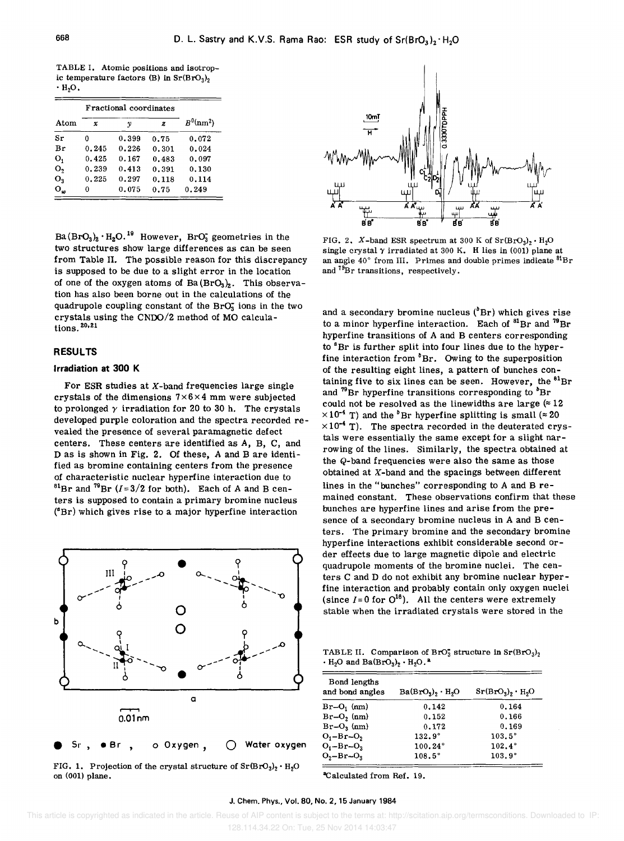TABLE 1. Atomic positions and isotropic temperature factors (B) in  $Sr(BrO<sub>3</sub>)<sub>2</sub>$  $\cdot$  H<sub>2</sub>O.

|              |       | Fractional coordinates |       |             |
|--------------|-------|------------------------|-------|-------------|
| Atom         | x     | v                      | z     | $B^0(nm^2)$ |
| sr           | 0     | 0.399                  | 0.75  | 0.072       |
| Br           | 0.245 | 0.226                  | 0.301 | 0.024       |
| о,           | 0.425 | 0.167                  | 0.483 | 0.097       |
| о,           | 0.239 | 0.413                  | 0.391 | 0.130       |
| о,           | 0.225 | 0.297                  | 0.118 | 0,114       |
| $O_{\omega}$ | 0     | 0.075                  | 0.75  | 0.249       |

 $Ba(BrO<sub>3</sub>)<sub>2</sub> · H<sub>2</sub>O<sup>19</sup>$  However, BrO<sub>3</sub> geometries in the two structures show large differences as can be seen from Table II. The possible reason for this discrepancy is supposed to be due to a slight error in the location of one of the oxygen atoms of  $Ba(BrO<sub>3</sub>)<sub>2</sub>$ . This observation has also been borne out in the calculations of the quadrupole coupling constant of the BrO; ions in the two crystals using the CNOO/2 method of MO calculations. <sup>20,21</sup>

#### **RESULTS**

## **Irradiation at 300** K

For ESR studies at  $X$ -band frequencies large single crystals of the dimensions  $7 \times 6 \times 4$  mm were subjected to prolonged  $\gamma$  irradiation for 20 to 30 h. The crystals developed purple coloration and the spectra recorded revealed the presence of several paramagnetic defect centers. These centers are identified as A, B, C, and D as is shown in Fig. 2. Of these, A and B are identified as bromine containing centers from the presence of characteristic nuclear hyperfine interaction due to <sup>81</sup>Br and <sup>79</sup>Br ( $I=3/2$  for both). Each of A and B centers is supposed to contain a primary bromine nucleus  $({}^{a}Br)$  which gives rise to a major hyperfine interaction



FIG. 1. Projection of the crystal structure of  $Sr(BrO<sub>3</sub>)<sub>2</sub> · H<sub>2</sub>O$ on (001) plane.



FIG. 2. X-band ESR spectrum at 300 K of  $Sr(BrO<sub>3</sub>)<sub>2</sub> \cdot H<sub>2</sub>O$ single crystal  $\gamma$  irradiated at 300 K. H lies in (001) plane at an angle  $40^{\circ}$  from III. Primes and double primes indicate  ${}^{81}\text{Br}$ and <sup>79</sup>Br transitions, respectively.

and a secondary bromine nucleus  $(^{b}Br)$  which gives rise to a minor hyperfine interaction. Each of  ${}^{81}Br$  and  ${}^{79}Br$ hyperfine transitions of A and B centers corresponding to <sup>a</sup>Br is further split into four lines due to the hyperfine interaction from  ${}^{b}Br$ . Owing to the superposition of the resulting eight lines, a pattern of bunches containing five to six lines can be seen. However, the  ${}^{81}Br$ and  $^{79}$ Br hyperfine transitions corresponding to  $^{b}$ Br could not be resolved as the linewidths are large  $(212)$  $\times 10^{-4}$  T) and the <sup>b</sup>Br hyperfine splitting is small ( $\approx 20$ )  $\times 10^{-4}$  T). The spectra recorded in the deuterated crystals were essentially the same except for a slight narrowing of the lines. Similarly, the spectra obtained at the Q-band frequencies were also the same as those obtained at X-band and the spacings between different lines in the "bunches" corresponding to A and B remained constant. These observations confirm that these bunches are hyperfine lines and arise from the presence of a secondary bromine nucleus in A and B centers. The primary bromine and the secondary bromine hyperfine interactions exhibit considerable second order effects due to large magnetic dipole and electric quadrupole moments of the bromine nuclei. The centers C and D do not exhibit any bromine nuclear hyperfine interaction and probably contain only oxygen nuclei (since  $I = 0$  for  $O^{16}$ ). All the centers were extremely stable when the irradiated crystals were stored in the

TABLE II. Comparison of BrO<sub>3</sub> structure in  $Sr(BrO<sub>3</sub>)<sub>2</sub>$  $\cdot$  H<sub>2</sub>O and Ba(BrO<sub>3</sub>)<sub>2</sub>  $\cdot$  H<sub>2</sub>O.<sup>2</sup>

| Bond lengths<br>and bond angles | $Ba(BrO3)$ , $\cdot$ H <sub>2</sub> O | $Sr(BrO3)$ , $H2O$ |
|---------------------------------|---------------------------------------|--------------------|
| $Br-O_1$ (nm)                   | 0.142                                 | 0.164              |
| $Br-O_2$ (nm)                   | 0.152                                 | 0.166              |
| $Br-O_3$ (nm)                   | 0.172                                 | 0.169              |
| $O_1 - Br - O_2$                | $132.9^\circ$                         | $103.5^\circ$      |
| $O_1 - Br - O_3$                | 100.24°                               | $102.4^\circ$      |
| $O_2 - Br - O_3$                | $108.5^\circ$                         | $103.9^\circ$      |

"Calculated from Ref. 19.

J. Chem. Phys., Vol. 80, No. 2, 15 January 1984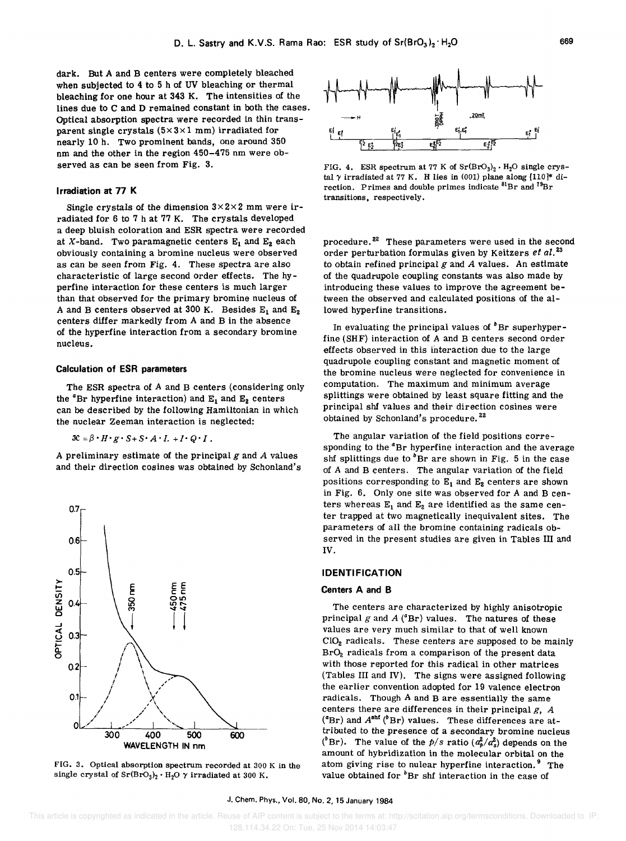dark. But A and B centers were completely bleached when subjected to 4 to 5 h of UV bleaching or thermal bleaching for one hour at 343 K. The intensities of the lines due to C and D remained constant in both the cases. Optical absorption spectra were recorded in thin transparent single crystals  $(5 \times 3 \times 1 \text{ mm})$  irradiated for nearly 10 h. Two prominent bands, one around 350 nm and the other in the region 450-475 nm were observed as can be seen from Fig. 3.

#### I rradiation at 77 K

Single crystals of the dimension  $3 \times 2 \times 2$  mm were irradiated for 6 to 7 h at 77 K. The crystals developed a deep bluish coloration and ESR spectra were recorded at X-band. Two paramagnetic centers  $E_1$  and  $E_2$  each obviously containing a bromine nucleus were observed as can be seen from Fig. 4. These spectra are also characteristic of large second order effects. The hyperfine interaction for these centers is much larger than that observed for the primary bromine nucleus of A and B centers observed at 300 K. Besides  $E_1$  and  $E_2$ centers differ markedly from A and B in the absence of the hyperfine interaction from a secondary bromine nucleus.

#### Calculation of ESR parameters

The ESR spectra of A and B centers (considering only the  ${}^4$ Br hyperfine interaction) and  $E_1$  and  $E_2$  centers can be described by the following Hamiltonian in which the nuclear Zeeman interaction is neglected:

## $\mathfrak{X} = \beta \cdot H \cdot g \cdot S + S \cdot A \cdot L + I \cdot Q \cdot I$ .

A preliminary estimate of the principal *g* and *A* values and their direction cosines was obtained by Schonland's



FIG. 3. Optical absorption spectrum recorded at 300 K in the single crystal of  $\text{Sr(BrO}_3)_2 \cdot \text{H}_2\text{O}$   $\gamma$  irradiated at 300 K.



FIG. 4. ESR spectrum at 77 K of  $Sr(BrO<sub>3</sub>)<sub>2</sub> \cdot H<sub>2</sub>O$  single crystal  $\gamma$  irradiated at 77 K. H lies in (001) plane along [110]\* direction. Primes and double primes indicate  ${}^{81}Br$  and  ${}^{79}Br$ transitions. respectively.

procedure.<sup>22</sup> These parameters were used in the second order perturbation formulas given by Keitzers *et al. <sup>23</sup>* to obtain refined principal g and *A* values. An estimate of the quadrupole coupling constants was also made by introducing these values to improve the agreement between the observed and calculated positions of the allowed hyperfine transitions.

In evaluating the principal values of  $b$ Br superhyperfine (SHF) interaction of A and B centers second order effects observed in this interaction due to the large quadrupole coupling constant and magnetic moment of the bromine nucleus were neglected for convenience in computation. The maximum and minimum average splittings were obtained by least square fitting and the principal shf values and their direction cosines were obtained by Schonland's procedure.<sup>22</sup>

The angular variation of the field positions corresponding to the <sup>a</sup>Br hyperfine interaction and the average shf splittings due to  ${}^{b}$ Br are shown in Fig. 5 in the case of A and B centers. The angular variation of the field positions corresponding to  $E_1$  and  $E_2$  centers are shown in Fig. 6. Only one site was observed for A and B centers whereas  $E_1$  and  $E_2$  are identified as the same center trapped at two magnetically inequivalent sites. The parameters of all the bromine containing radicals observed in the present studies are given in Tables III and IV.

#### IDENTIFICATION

#### Centers A and B

The centers are characterized by highly anisotropic principal  $g$  and  $A$  ( ${}^{4}Br$ ) values. The natures of these values are very much similar to that of well known CI02 radicals. These centers are supposed to be mainly Br02 radicals from a comparison of the present data with those reported for this radical in other matrices (Tables III and IV). The signs were assigned following the earlier convention adopted for 19 valence electron radicals. Though A and B are essentially the same centers there are differences in their principal *g, A*  ( ${}^{4}Br$ ) and  $A^{shf}$  ( ${}^{b}Br$ ) values. These differences are attributed to the presence of a secondary bromine nucleus ( $^{\circ}$ Br). The value of the *p*/s ratio ( $a_p^2/a_s^2$ ) depends on the amount of hybridization in the molecular orbital on the atom giving rise to nulear hyperfine interaction. $9$  The value obtained for  ${}^{b}Br$  shf interaction in the case of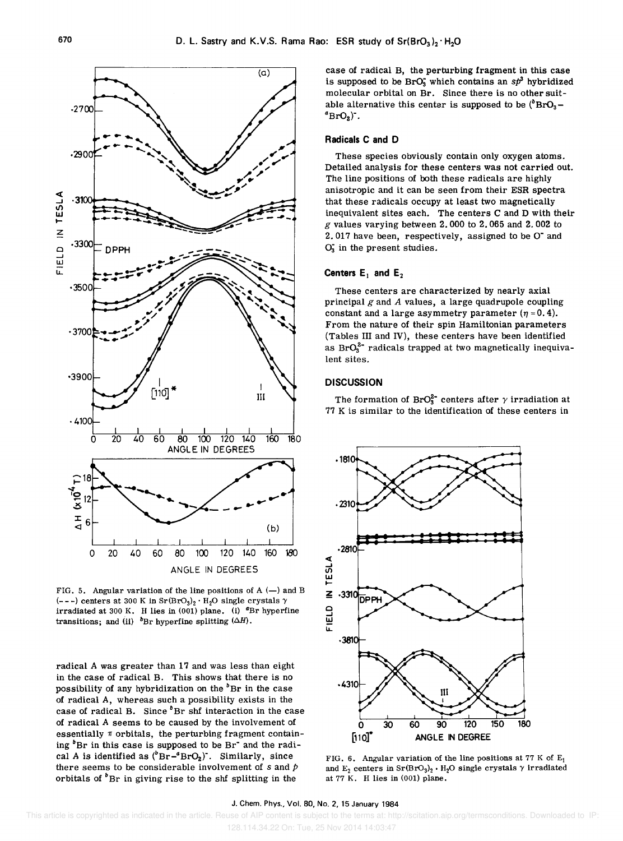

FIG. 5. Angular variation of the line positions of  $A$  (-) and B (---) centers at 300 K in  $Sr(BrO<sub>3</sub>)<sub>2</sub> · H<sub>2</sub>O$  single crystals  $\gamma$ irradiated at 300 K. H lies in (001) plane. (i)  ${}^{\alpha}$ Br hyperfine transitions; and (ii)  $b$ Br hyperfine splitting  $(\Delta H)$ .

radical A was greater than 17 and was less than eight in the case of radical B. This shows that there is no possibility of any hybridization on the  ${}^{b}$ Br in the case of radical A, whereas such a possibility exists in the case of radical B. Since  $b$ Br shf interaction in the case of radical A seems to be caused by the involvement of essentially  $\pi$  orbitals, the perturbing fragment containing  ${}^{b}Br$  in this case is supposed to be Br<sup>-</sup> and the radical A is identified as  $(^{b}Br-^{a}BrO_{2})$ . Similarly, since there seems to be considerable involvement of  $s$  and  $p$ orbitals of  $\mathbf{B}$ P in giving rise to the shf splitting in the

case of radical B, the perturbing fragment in this case is supposed to be BrO<sub>3</sub> which contains an  $s\dot{p}^3$  hybridized molecular orbital on Br. Since there is no other suitable alternative this center is supposed to be  $(^{b}BrO_3$ .  $^{a}\text{BrO}_{2}$ .

### Radicals C and D

These species obviously contain only oxygen atoms. Detailed analysis for these centers was not carried out. The line positions of both these radicals are highly anisotropic and it can be seen from their ESR spectra that these radicals occupy at least two magnetically inequivalent sites each. The centers C and D with their *g* values varying between 2.000 to 2.065 and 2.002 to 2.017 have been, respectively, assigned to be O<sup>-</sup> and 0; in the present studies.

## Centers  $E_1$  and  $E_2$

These centers are characterized by nearly axial principal *g* and *A* values, a large quadrupole coupling constant and a large asymmetry parameter  $(\eta = 0.4)$ . From the nature of their spin Hamiltonian parameters (Tables III and IV), these centers have been identified as  $BrO_3^{2-}$  radicals trapped at two magnetically inequivalent sites.

#### **DISCUSSION**

The formation of BrO<sub>3</sub><sup>2</sup> centers after  $\gamma$  irradiation at 77 K is similar to the identification of these centers in



FIG. 6. Angular variation of the line positions at 77 K of  $E_1$ and  $E_2$  centers in  $Sr(BrO<sub>3</sub>)<sub>2</sub> · H<sub>2</sub>O$  single crystals  $\gamma$  irradiated at 77 K. H lies in (001) plane.

#### J. Chern. Phys., Vol. 80, No.2, 15 January 1984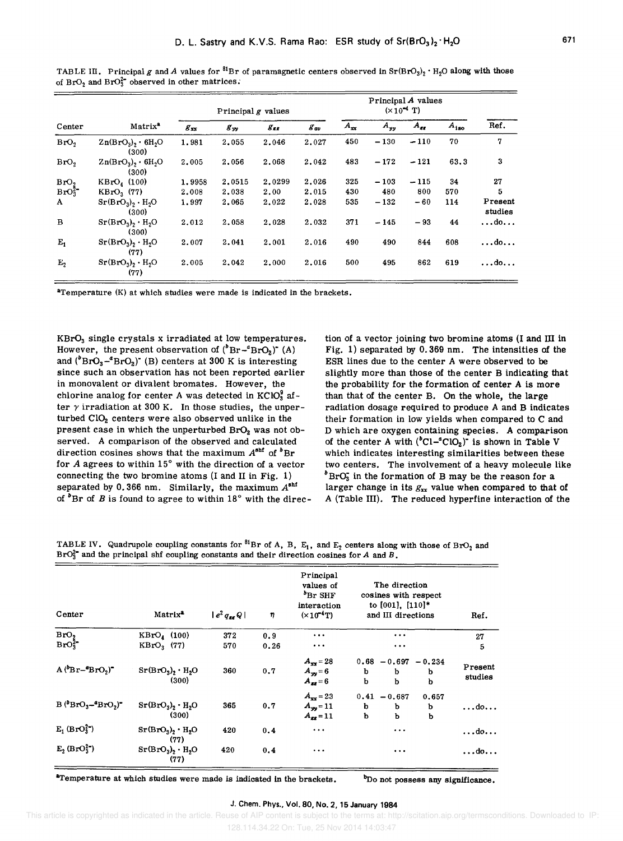|                               |                                         | Principal $g$ values |          |          |              | Principal A values<br>$(\times 10^{-4} \text{ T})$ |          |          |           |                      |
|-------------------------------|-----------------------------------------|----------------------|----------|----------|--------------|----------------------------------------------------|----------|----------|-----------|----------------------|
| Center                        | Matrix <sup>2</sup>                     | $g_{xx}$             | $g_{yy}$ | $g_{zz}$ | $g_{\mu\nu}$ | $A_{xx}$                                           | $A_{yy}$ | $A_{zz}$ | $A_{180}$ | Ref.                 |
| BrO,                          | $Zn(BrO3)$ , 6H <sub>2</sub> O<br>(300) | 1.981                | 2.055    | 2.046    | 2.027        | 450                                                | $-130$   | $-110$   | 70        | 7                    |
| BrO,                          | $Zn(BrO3)$ , 6H <sub>2</sub> O<br>(300) | 2.005                | 2.056    | 2.068    | 2.042        | 483                                                | $-172$   | $-121$   | 63.3      | 3                    |
| Bro,                          | $KBrO_4$ (100)                          | 1.9958               | 2,0515   | 2.0299   | 2.026        | 325                                                | $-103$   | $-115$   | 34        | 27                   |
| BrO <sub>3</sub> <sup>2</sup> | $KBrO3$ (77)                            | 2,008                | 2,038    | 2.00     | 2.015        | 430                                                | 480      | 800      | 570       | 5                    |
| $\mathbf{A}$                  | $Sr(BrO3)$ , $H2O$<br>(300)             | 1,997                | 2,065    | 2,022    | 2.028        | 535                                                | $-132$   | $-60$    | 114       | Present<br>studies   |
| B                             | $Sr(BrO3)$ , $H2O$<br>(300)             | 2.012                | 2,058    | 2.028    | 2.032        | 371                                                | $-145$   | $-93$    | 44        | $\ldots$ do $\ldots$ |
| $E_1$                         | $Sr(BrO3)2 · H2O$<br>(77)               | 2.007                | 2,041    | 2.001    | 2.016        | 490                                                | 490      | 844      | 608       | $\ldots$ do          |
| E <sub>2</sub>                | $Sr(BrO3)$ , $H2O$<br>(77)              | 2,005                | 2,042    | 2,000    | 2,016        | 500                                                | 495      | 862      | 619       | $\ldots$ do          |

TABLE III. Principal *g* and *A* values for <sup>81</sup>Br of paramagnetic centers observed in  $Sr(BrO<sub>3</sub>)<sub>2</sub> · H<sub>2</sub>O$  along with those of  $BrO<sub>2</sub>$  and  $BrO<sub>3</sub><sup>2</sup>$  observed in other matrices.

aTemperature (K) at which studies were made is indicated in the brackets.

KBr03 single crystals x irradiated at low temperatures. However, the present observation of  $({}^b\text{Br}-{}^a\text{BrO}_2)$ <sup>-</sup> (A) and  $(^{b}BrO<sub>3</sub>-<sup>a</sup>BrO<sub>2</sub>)$ <sup>\*</sup> (B) centers at 300 K is interesting since such an observation has not been reported earlier in monovalent or divalent bromates. However, the chlorine analog for center A was detected in  $KClO<sub>3</sub><sup>9</sup>$  after  $\gamma$  irradiation at 300 K. In those studies, the unperturbed ClO<sub>2</sub> centers were also observed unlike in the present case in which the unperturbed BrO<sub>2</sub> was not observed. A comparison of the observed and calculated direction cosines shows that the maximum  $A<sup>shf</sup>$  of  $<sup>b</sup>Br$ </sup> for  $A$  agrees to within  $15^\circ$  with the direction of a vector connecting the two bromine atoms (I and II in Fig. 1) separated by 0.366 nm. Similarly, the maximum  $A^{shf}$ of  ${}^{b}Br$  of *B* is found to agree to within 18 ${}^{o}$  with the direction of a vector joining two bromine atoms (I and III in Fig. 1) separated by 0.369 nm. The intensities of the ESR lines due to the center A were observed to be slightly more than those of the center B indicating that the probability for the formation of center A is more than that of the center B. On the whole, the large radiation dosage required to produce A and B indicates their formation in low yields when compared to C and D which are oxygen containing species. A comparison of the center A with  $({}^{b}Cl-{}^{a}ClO_{2})$  is shown in Table V which indicates interesting similarities between these two centers. The involvement of a heavy molecule like  $b^b$ BrO<sub>3</sub> in the formation of B may be the reason for a larger change in its  $g_{xx}$  value when compared to that of A (Table III). The reduced hyperfine interaction of the

| TABLE IV. Quadrupole coupling constants for <sup>81</sup> Br of A, B, $E_1$ , and $E_2$ centers along with those of BrO <sub>2</sub> and |  |  |  |  |  |  |
|------------------------------------------------------------------------------------------------------------------------------------------|--|--|--|--|--|--|
| $BrO32$ and the principal shf coupling constants and their direction cosines for A and B.                                                |  |  |  |  |  |  |

| Center                                 | Matrix <sup>2</sup>        | $ e^2 q_{\rm av} Q $ | η    | Principal<br>values of<br><sup>b</sup> Br SHF<br>interaction<br>$(x10^{-4}T)$ | The direction<br>cosines with respect<br>to [001], [110]*<br>and III directions | Ref.               |
|----------------------------------------|----------------------------|----------------------|------|-------------------------------------------------------------------------------|---------------------------------------------------------------------------------|--------------------|
| BrO,                                   | $KBrO4$ (100)              | 372                  | 0.9  |                                                                               | $\cdots$                                                                        | 27                 |
| $BrO_3^{2-}$                           | $KBrO3$ (77)               | 570                  | 0.26 | $\cdots$                                                                      | $\cdots$                                                                        | 5                  |
| $A(^{b}Br-{}^{a}BrO_2)^{-}$            | $Sr(BrO3)2 · H2O$<br>(300) | 360                  | 0.7  | $A_{xx} = 28$<br>$A_{yy} = 6$<br>$A_{xx} = 6$                                 | $0.68 - 0.697 - 0.234$<br>b<br>b<br>b<br>b<br>b<br>b                            | Present<br>studies |
| $B(^{\theta}BrO_3-{}^{\alpha}BrO_2)^*$ | $Sr(BrO3)2 · H2O$<br>(300) | 365                  | 0.7  | $A_{\rm rec} = 23$<br>$A_{yy} = 11$<br>$A_{gg} = 11$                          | $0.41 - 0.687$<br>0.657<br>b<br>b<br>b<br>b<br>b<br>b                           | $\ldots$ do        |
| $E_1$ (BrO $_3^2$ )                    | $Sr(BrO3)2 · H2O$<br>(77)  | 420                  | 0.4  | $\ddotsc$                                                                     | $\cdots$                                                                        | $\ldots$ do        |
| $E_2(BrO_3^{2-})$                      | $Sr(BrO3)2 · H2O$<br>(77)  | 420                  | 0.4  | $\cdots$                                                                      | $\cdots$                                                                        | $\ldots$ do        |

"Temperature at which studies were made is indicated in the brackets. <sup>b</sup>Do not possess any significance.

#### J. Chern. Phys., Vol. 80, No.2, 15 January 1984

 This article is copyrighted as indicated in the article. Reuse of AIP content is subject to the terms at: http://scitation.aip.org/termsconditions. Downloaded to IP: 128.114.34.22 On: Tue, 25 Nov 2014 14:03:47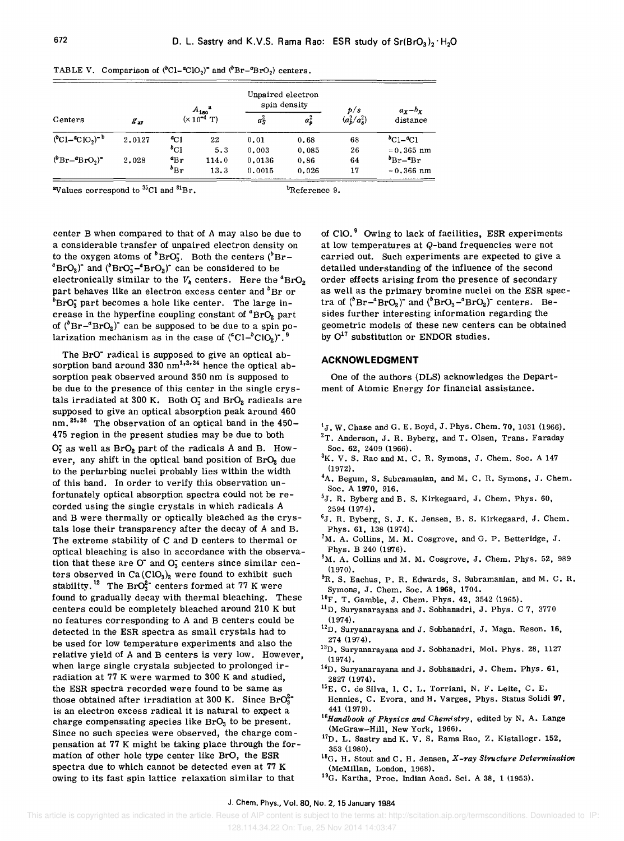| Centers<br>$(^{b}Cl - ^{a}ClO_2)^{-b}$ |              |              |                                               | Unpaired electron<br>spin density |         | p/s             | $a_x - b_x$                |
|----------------------------------------|--------------|--------------|-----------------------------------------------|-----------------------------------|---------|-----------------|----------------------------|
|                                        | $g_{\rm av}$ |              | $A_{180}^{\text{2}}$<br>( $\times 10^{-4}$ T) | аŝ                                | $a_b^2$ | $(a_b^2/a_s^2)$ | distance                   |
|                                        | 2.0127       | $^{a}$ Cl    | 22                                            | 0.01                              | 0.68    | 68              | $^{b}$ C1– $^{a}$ C1       |
|                                        |              | $^{b}$ C1    | 5.3                                           | 0.003                             | 0.085   | 26              | $= 0.365$ nm               |
| $(^{b}Br-^{a}BrO_{2})^{\bullet}$       | 2.028        | $a_{\rm Br}$ | 114.0                                         | 0.0136                            | 0.86    | 64              | $b_{\text{Br}-4\text{Br}}$ |
|                                        |              | $b_{\rm Br}$ | 13.3                                          | 0.0015                            | 0.026   | 17              | $= 0.366$ nm               |

TABLE V. Comparison of  $(^{b}Cl-{}^{a}ClO<sub>2</sub>)<sup>*</sup>$  and  $(^{b}Br-{}^{a}BrO<sub>2</sub>)$  centers.

<sup>a</sup>Values correspond to  $^{35}$ Cl and  $^{81}Br$ . bReference 9.

center B when compared to that of A may also be due to a considerable transfer of unpaired electron density on to the oxygen atoms of  ${}^{b}BrO<sub>3</sub>$ . Both the centers ( ${}^{b}Br-$ <sup>a</sup>BrO<sub>2</sub>)<sup>-</sup> and ( ${}^{b}$ BrO<sub>3</sub><sup>-a</sup>BrO<sub>2</sub>)<sup>-</sup> can be considered to be electronically similar to the  $V_k$  centers. Here the  ${}^aPbC_2$ part behaves like an electron excess center and  ${}^{b}$ Br or *bBrO;* part becomes a hole like center. The large increase in the hyperfine coupling constant of  ${}^4{\rm BrO}_2$  part of  $({}^{b}Br-{}^{a}BrQ_{2})$  can be supposed to be due to a spin polarization mechanism as in the case of  $({}^{a}Cl - {}^{b}ClO_{2})$ .

The BrO' radical is supposed to give an optical absorption band around  $330 \text{ nm}^{1,2,24}$  hence the optical absorption peak observed around 350 nm is supposed to be due to the presence of this center in the single crystals irradiated at 300 K. Both  $O_3^-$  and Br $O_2$  radicals are supposed to give an optical absorption peak around 460 nm. <sup>25,26</sup> The observation of an optical band in the 450-475 region in the present studies may be due to both  $O_3^-$  as well as  $BrO_2$  part of the radicals A and B. However, any shift in the optical band position of  $BrO<sub>2</sub>$  due to the perturbing nuclei probably lies within the width of this band. In order to verify this observation unfortunately optical absorption spectra could not be recorded using the single crystals in which radicals A and B were thermally or optically bleached as the crystals lose their transparency after the decay of A and B. The extreme stability of C and D centers to thermal or optical bleaching is also in accordance with the observation that these are  $O^{\dagger}$  and  $O^{\dagger}$  centers since similar centers observed in  $Ca (ClO<sub>3</sub>)<sub>2</sub>$  were found to exhibit such stability.<sup>12</sup> The BrO<sub>3</sub><sup>2</sup> centers formed at 77 K were found to gradually decay with thermal bleaching. These centers could be completely bleached around 210 K but no features corresponding to A and B centers could be detected in the ESR spectra as small crystals had to be used for low temperature experiments and also the relative yield of A and B centers is very low. However, when large single crystals subjected to prolonged irradiation at 77 K were warmed to 300 K and studied, the ESR spectra recorded were found to be same as those obtained after irradiation at 300 K. Since  $BrO<sub>3</sub><sup>2</sup>$ is an electron excess radical it is natural to expect a charge compensating species like  $BrO<sub>3</sub>$  to be present. Since no such species were observed, the charge compensation at 77 K might be taking place through the formation of other hole type center like BrO, the ESR spectra due to which cannot be detected even at 77 K owing to its fast spin lattice relaxation similar to that

of  $CIO.^9$  Owing to lack of facilities, ESR experiments at low temperatures at Q-band frequencies were not carried out. Such experiments are expected to give a detailed understanding of the influence of the second order effects arising from the presence of secondary as well as the primary bromine nuclei on the ESR spectra of  $(^{b}Br-^{a}BrO_{2})$ " and  $(^{b}BrO_{3}-^{a}BrO_{2})$ " centers. Besides further interesting information regarding the geometric models of these new centers can be obtained by  $O^{17}$  substitution or ENDOR studies.

#### **ACKNOWLEDGMENT**

One of the authors (DLS) acknowledges the Department of Atomic Energy for financial assistance.

- $1_J$ . W. Chase and G. E. Boyd, J. Phys. Chem. 70, 1031 (1966).
- ${}^{2}$ T. Anderson, J. R. Byberg, and T. Olsen, Trans. Faraday Soc. 62, 2409 (1966).
- ${}^{3}K$ . V. S. Rao and M. C. R. Symons, J. Chem. Soc. A 147 (1972).
- <sup>4</sup>A. Begum, S. Subramanian, and M. C. R. Symons, J. Chem. Soc. A 1970, 916.
- <sup>5</sup>J. R. Byberg and B. S. Kirkegaard, J. Chem. Phys. 60, 2594 (1974).
- ${}^{6}$ J. R. Byberg, S. J. K. Jensen, B. S. Kirkegaard, J. Chem. Phys. 61, 138 (1974).
- ${}^{7}M$ . A. Collins, M. M. Cosgrove, and G. P. Betteridge, J. Phys. B 240 (1976).
- $8M.$  A. Collins and M. M. Cosgrove, J. Chem. Phys. 52, 989 (1970).
- <sup>9</sup>R. S. Eachus, P. R. Edwards, S. Subramanian, and M. C. R. Symons, J. Chern. Soc. A 1968, 1704.
- 1°F. T. Gamble, J. Chern. Phys. 42,3542 (1965).
- <sup>11</sup>D. Suryanarayana and J. Sobhanadri, J. Phys. C 7, 3770 (1974).
- $12D$ . Suryanarayana and J. Sobhanadri, J. Magn. Reson. 16, 274 (1974).
- <sup>13</sup>D. Suryanarayana and J. Sobhanadri, Mol. Phys. 28, 1127 (1974).
- $14D$ . Suryanarayana and J. Sobhanadri, J. Chem. Phys. 61, 2827 (1974).
- 15E. C. de Silva, I. C. L. Torriani, N. F. Leite, C. E. Hennies, C. Evora, and H. Varges, Phys. Status Solidi 97, 441 (1979).
- *lsHandbook of Physics and Chemistry,* edited by N. A. Lange (McGraw-Hill, New York, 1966).
- $17D$ . L. Sastry and K. V. S. Rama Rao, Z. Kistallogr. 152, 353 (1980).
- 18G. H. Stout and C. H. Jensen, *X -ray Structure Determination*  (McMillan, London, 1968).
- 19G. Kartha, Proc. Indian Acad. Sci. A 38, 1 (1953).